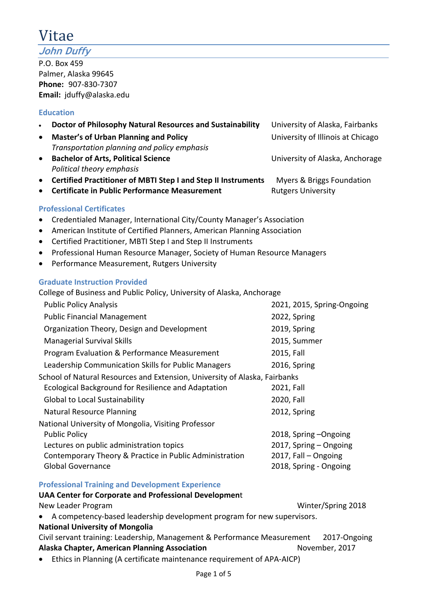# Vitae

**John Duffy**

P.O. Box 459 Palmer, Alaska 99645 **Phone:** 907-830-7307 **Email:** jduffy@alaska.edu

# **Education**

| Doctor of Philosophy Natural Resources and Sustainability<br>$\bullet$               | University of Alaska, Fairbanks   |
|--------------------------------------------------------------------------------------|-----------------------------------|
| <b>Master's of Urban Planning and Policy</b><br>$\bullet$                            | University of Illinois at Chicago |
| Transportation planning and policy emphasis                                          |                                   |
| <b>Bachelor of Arts, Political Science</b><br>$\bullet$                              | University of Alaska, Anchorage   |
| Political theory emphasis                                                            |                                   |
| <b>Certified Practitioner of MBTI Step I and Step II Instruments</b><br>$\bullet$    | Myers & Briggs Foundation         |
| <b>Certificate in Public Performance Measurement</b><br>$\bullet$                    | <b>Rutgers University</b>         |
| <b>Professional Certificates</b>                                                     |                                   |
| Credentialed Manager, International City/County Manager's Association<br>$\bullet$   |                                   |
| American Institute of Certified Planners, American Planning Association<br>$\bullet$ |                                   |
| Certified Practitioner, MBTI Step I and Step II Instruments<br>$\bullet$             |                                   |
| Professional Human Resource Manager, Society of Human Resource Managers<br>$\bullet$ |                                   |
| Performance Measurement, Rutgers University<br>$\bullet$                             |                                   |
| <b>Graduate Instruction Provided</b>                                                 |                                   |
| College of Business and Public Policy, University of Alaska, Anchorage               |                                   |
| <b>Public Policy Analysis</b>                                                        | 2021, 2015, Spring-Ongoing        |
| <b>Public Financial Management</b>                                                   | 2022, Spring                      |
| Organization Theory, Design and Development                                          | 2019, Spring                      |
| <b>Managerial Survival Skills</b>                                                    | 2015, Summer                      |
| Program Evaluation & Performance Measurement                                         | 2015, Fall                        |
| Leadership Communication Skills for Public Managers                                  | 2016, Spring                      |
| School of Natural Resources and Extension, University of Alaska, Fairbanks           |                                   |
| Ecological Background for Resilience and Adaptation                                  | 2021, Fall                        |
| <b>Global to Local Sustainability</b>                                                | 2020, Fall                        |
| <b>Natural Resource Planning</b>                                                     | 2012, Spring                      |
| National University of Mongolia, Visiting Professor                                  |                                   |
| <b>Public Policy</b>                                                                 | 2018, Spring-Ongoing              |
| Lectures on public administration topics                                             | 2017, Spring - Ongoing            |
| Contemporary Theory & Practice in Public Administration                              | 2017, Fall - Ongoing              |
| <b>Global Governance</b>                                                             | 2018, Spring - Ongoing            |
| <b>Professional Training and Development Experience</b>                              |                                   |
| <b>UAA Center for Corporate and Professional Development</b>                         |                                   |

New Leader Program New Leader Program New Leader Program New Winter/Spring 2018 • A competency-based leadership development program for new supervisors.

### **National University of Mongolia**

Civil servant training: Leadership, Management & Performance Measurement 2017-Ongoing Alaska Chapter, American Planning Association **November, 2017** November, 2017

• Ethics in Planning (A certificate maintenance requirement of APA-AICP)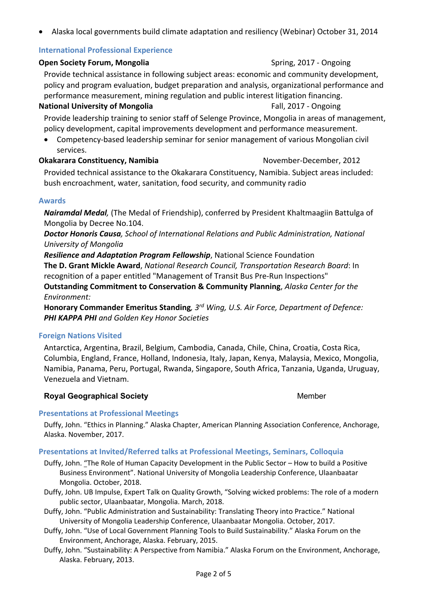• Alaska local governments build climate adaptation and resiliency (Webinar) October 31, 2014

### **International Professional Experience**

#### **Open Society Forum, Mongolia** Spring, 2017 - Ongoing

Provide technical assistance in following subject areas: economic and community development, policy and program evaluation, budget preparation and analysis, organizational performance and performance measurement, mining regulation and public interest litigation financing.

#### **National University of Mongolia Fall, 2017 - Ongoing**

Provide leadership training to senior staff of Selenge Province, Mongolia in areas of management, policy development, capital improvements development and performance measurement.

• Competency-based leadership seminar for senior management of various Mongolian civil services.

### **Okakarara Constituency, Namibia** November-December, 2012

Provided technical assistance to the Okakarara Constituency, Namibia. Subject areas included: bush encroachment, water, sanitation, food security, and community radio

### **Awards**

*Nairamdal Medal,* (The Medal of Friendship), conferred by President Khaltmaagiin Battulga of Mongolia by Decree No.104.

*Doctor Honoris Causa, School of International Relations and Public Administration, National University of Mongolia*

*Resilience and Adaptation Program Fellowship*, National Science Foundation

**The D. Grant Mickle Award**, *National Research Council, Transportation Research Board*: In recognition of a paper entitled "Management of Transit Bus Pre-Run Inspections"

**Outstanding Commitment to Conservation & Community Planning**, *Alaska Center for the Environment:*

**Honorary Commander Emeritus Standing***, 3rd Wing, U.S. Air Force, Department of Defence: PHI KAPPA PHI and Golden Key Honor Societies*

### **Foreign Nations Visited**

Antarctica, Argentina, Brazil, Belgium, Cambodia, Canada, Chile, China, Croatia, Costa Rica, Columbia, England, France, Holland, Indonesia, Italy, Japan, Kenya, Malaysia, Mexico, Mongolia, Namibia, Panama, Peru, Portugal, Rwanda, Singapore, South Africa, Tanzania, Uganda, Uruguay, Venezuela and Vietnam.

### **Royal Geographical Society Member Member Member**

### **Presentations at Professional Meetings**

Duffy, John. "Ethics in Planning." Alaska Chapter, American Planning Association Conference, Anchorage, Alaska. November, 2017.

### **Presentations at Invited/Referred talks at Professional Meetings, Seminars, Colloquia**

Duffy, John. "The Role of Human Capacity Development in the Public Sector – How to build a Positive Business Environment". National University of Mongolia Leadership Conference, Ulaanbaatar Mongolia. October, 2018.

Duffy, John. UB Impulse, Expert Talk on Quality Growth, "Solving wicked problems: The role of a modern public sector, Ulaanbaatar, Mongolia. March, 2018.

- Duffy, John. "Public Administration and Sustainability: Translating Theory into Practice." National University of Mongolia Leadership Conference, Ulaanbaatar Mongolia. October, 2017.
- Duffy, John. "Use of Local Government Planning Tools to Build Sustainability." Alaska Forum on the Environment, Anchorage, Alaska. February, 2015.
- Duffy, John. "Sustainability: A Perspective from Namibia." Alaska Forum on the Environment, Anchorage, Alaska. February, 2013.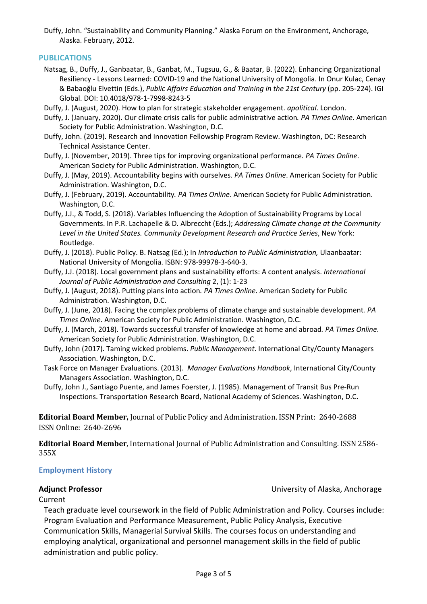Duffy, John. "Sustainability and Community Planning." Alaska Forum on the Environment, Anchorage, Alaska. February, 2012.

### **PUBLICATIONS**

- Natsag, B., Duffy, J., Ganbaatar, B., Ganbat, M., Tugsuu, G., & Baatar, B. (2022). Enhancing Organizational Resiliency - Lessons Learned: COVID-19 and the National University of Mongolia. In Onur Kulac, Cenay & Babaoğlu Elvettin (Eds.), *Public Affairs Education and Training in the 21st Century* (pp. 205-224). IGI Global. DOI: 10.4018/978-1-7998-8243-5
- Duffy, J. (August, 2020). How to plan for strategic stakeholder engagement. *apolitical*. London.
- Duffy, J. (January, 2020). Our climate crisis calls for public administrative action*. PA Times Online*. American Society for Public Administration. Washington, D.C.
- Duffy, John. (2019). Research and Innovation Fellowship Program Review. Washington, DC: Research Technical Assistance Center.
- Duffy, J. (November, 2019). Three tips for improving organizational performance*. PA Times Online*. American Society for Public Administration. Washington, D.C.
- Duffy, J. (May, 2019). Accountability begins with ourselves*. PA Times Online*. American Society for Public Administration. Washington, D.C.
- Duffy, J. (February, 2019). Accountability*. PA Times Online*. American Society for Public Administration. Washington, D.C.
- Duffy, J.J., & Todd, S. (2018). Variables Influencing the Adoption of Sustainability Programs by Local Governments. In P.R. Lachapelle & D. Albreccht (Eds.); *Addressing Climate change at the Community Level in the United States. Community Development Research and Practice Series*, New York: Routledge.
- Duffy, J. (2018). Public Policy. B. Natsag (Ed.); In *Introduction to Public Administration,* Ulaanbaatar: National University of Mongolia. ISBN: 978-99978-3-640-3.
- Duffy, J.J. (2018). Local government plans and sustainability efforts: A content analysis. *International Journal of Public Administration and Consulting* 2, (1): 1-23
- Duffy, J. (August, 2018). Putting plans into action*. PA Times Online*. American Society for Public Administration. Washington, D.C.
- Duffy, J. (June, 2018). Facing the complex problems of climate change and sustainable development*. PA Times Online*. American Society for Public Administration. Washington, D.C.
- Duffy, J. (March, 2018). Towards successful transfer of knowledge at home and abroad*. PA Times Online*. American Society for Public Administration. Washington, D.C.
- Duffy, John (2017). Taming wicked problems. *Public Management*. International City/County Managers Association. Washington, D.C.
- Task Force on Manager Evaluations. (2013). *Manager Evaluations Handbook*, International City/County Managers Association. Washington, D.C.

Duffy, John J., Santiago Puente, and James Foerster, J. (1985). Management of Transit Bus Pre-Run Inspections. Transportation Research Board, National Academy of Sciences. Washington, D.C.

**Editorial Board Member, Journal of Public Policy and Administration. ISSN Print: 2640-2688** ISSN Online: 2640-2696 

**Editorial Board Member**, International Journal of Public Administration and Consulting. ISSN 2586-355X

### **Employment History**

**Adjunct Professor** University of Alaska, Anchorage

### Current

Teach graduate level coursework in the field of Public Administration and Policy. Courses include: Program Evaluation and Performance Measurement, Public Policy Analysis, Executive Communication Skills, Managerial Survival Skills. The courses focus on understanding and employing analytical, organizational and personnel management skills in the field of public administration and public policy.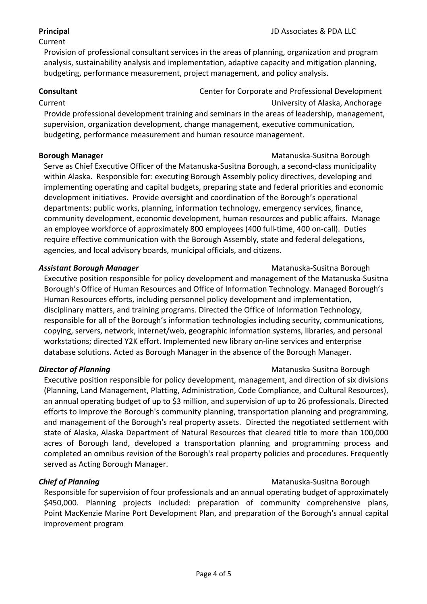### Current

Provision of professional consultant services in the areas of planning, organization and program analysis, sustainability analysis and implementation, adaptive capacity and mitigation planning, budgeting, performance measurement, project management, and policy analysis.

**Consultant** Consultant Center for Corporate and Professional Development

Current University of Alaska, Anchorage

Provide professional development training and seminars in the areas of leadership, management, supervision, organization development, change management, executive communication, budgeting, performance measurement and human resource management.

# **Borough Manager** Manager **Matanuska-Susitna Borough**

Serve as Chief Executive Officer of the Matanuska-Susitna Borough, a second-class municipality within Alaska. Responsible for: executing Borough Assembly policy directives, developing and implementing operating and capital budgets, preparing state and federal priorities and economic development initiatives. Provide oversight and coordination of the Borough's operational departments: public works, planning, information technology, emergency services, finance, community development, economic development, human resources and public affairs. Manage an employee workforce of approximately 800 employees (400 full-time, 400 on-call). Duties require effective communication with the Borough Assembly, state and federal delegations, agencies, and local advisory boards, municipal officials, and citizens.

### **Assistant Borough Manager** Matanuska-Susitna Borough Matanuska-Susitna Borough

Executive position responsible for policy development and management of the Matanuska-Susitna Borough's Office of Human Resources and Office of Information Technology. Managed Borough's Human Resources efforts, including personnel policy development and implementation, disciplinary matters, and training programs. Directed the Office of Information Technology, responsible for all of the Borough's information technologies including security, communications, copying, servers, network, internet/web, geographic information systems, libraries, and personal workstations; directed Y2K effort. Implemented new library on-line services and enterprise database solutions. Acted as Borough Manager in the absence of the Borough Manager.

# **Director of Planning** Matanuska-Susitna Borough

Executive position responsible for policy development, management, and direction of six divisions (Planning, Land Management, Platting, Administration, Code Compliance, and Cultural Resources), an annual operating budget of up to \$3 million, and supervision of up to 26 professionals. Directed efforts to improve the Borough's community planning, transportation planning and programming, and management of the Borough's real property assets. Directed the negotiated settlement with state of Alaska, Alaska Department of Natural Resources that cleared title to more than 100,000 acres of Borough land, developed a transportation planning and programming process and completed an omnibus revision of the Borough's real property policies and procedures. Frequently served as Acting Borough Manager.

# **Chief of Planning Matanuska-Susitna Borough Matanuska-Susitna Borough**

Responsible for supervision of four professionals and an annual operating budget of approximately \$450,000. Planning projects included: preparation of community comprehensive plans, Point MacKenzie Marine Port Development Plan, and preparation of the Borough's annual capital improvement program